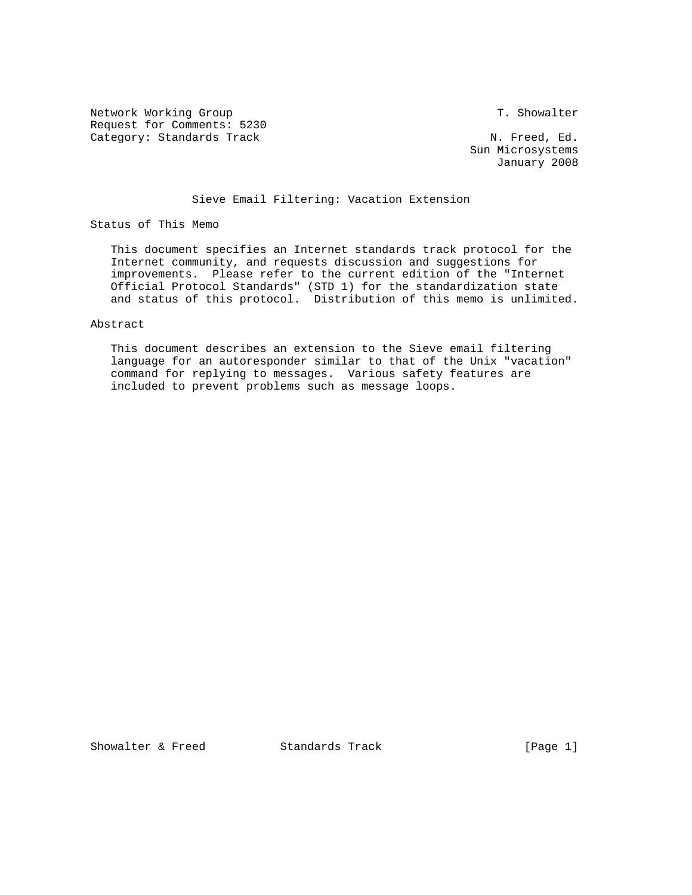Network Working Group T. Showalter Request for Comments: 5230 Category: Standards Track N. Freed, Ed.

 Sun Microsystems January 2008

# Sieve Email Filtering: Vacation Extension

Status of This Memo

 This document specifies an Internet standards track protocol for the Internet community, and requests discussion and suggestions for improvements. Please refer to the current edition of the "Internet Official Protocol Standards" (STD 1) for the standardization state and status of this protocol. Distribution of this memo is unlimited.

### Abstract

 This document describes an extension to the Sieve email filtering language for an autoresponder similar to that of the Unix "vacation" command for replying to messages. Various safety features are included to prevent problems such as message loops.

Showalter & Freed Standards Track [Page 1]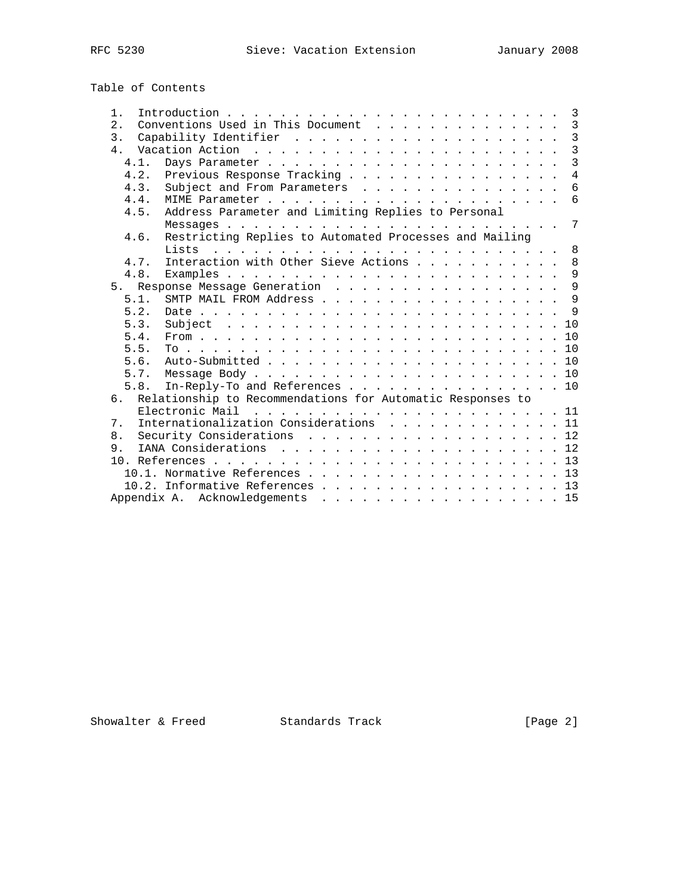| Table of Contents |  |
|-------------------|--|
|-------------------|--|

| $1$ .          | $\overline{3}$                                             |
|----------------|------------------------------------------------------------|
| 2.             | Conventions Used in This Document 3                        |
| 3.             | $\overline{3}$                                             |
| 4 <sub>1</sub> | $\overline{3}$                                             |
| 4.1.           | $\overline{3}$                                             |
| 4.2.           | $\overline{4}$<br>Previous Response Tracking               |
| 4.3.           | Subject and From Parameters<br>6                           |
| 4.4.           |                                                            |
| 4.5.           | Address Parameter and Limiting Replies to Personal         |
|                | $7\overline{ }$                                            |
| 4.6.           | Restricting Replies to Automated Processes and Mailing     |
|                | 8                                                          |
| 4.7.           | Interaction with Other Sieve Actions<br>8                  |
| 4.8.           | $\overline{9}$                                             |
|                | 5. Response Message Generation 9                           |
| 5.1.           |                                                            |
| 5.2.           | $\mathsf{Q}$                                               |
| 5.3.           |                                                            |
| 5.4.           |                                                            |
| 5.5.           |                                                            |
| 5.6.           |                                                            |
|                |                                                            |
| 5.8.           | In-Reply-To and References 10                              |
| რ.             | Relationship to Recommendations for Automatic Responses to |
|                |                                                            |
| 7.             | Internationalization Considerations 11                     |
| 8.             | Security Considerations 12                                 |
| 9.             |                                                            |
|                |                                                            |
|                | 10.1. Normative References 13                              |
|                | 10.2. Informative References 13                            |
|                | Appendix A. Acknowledgements 15                            |
|                |                                                            |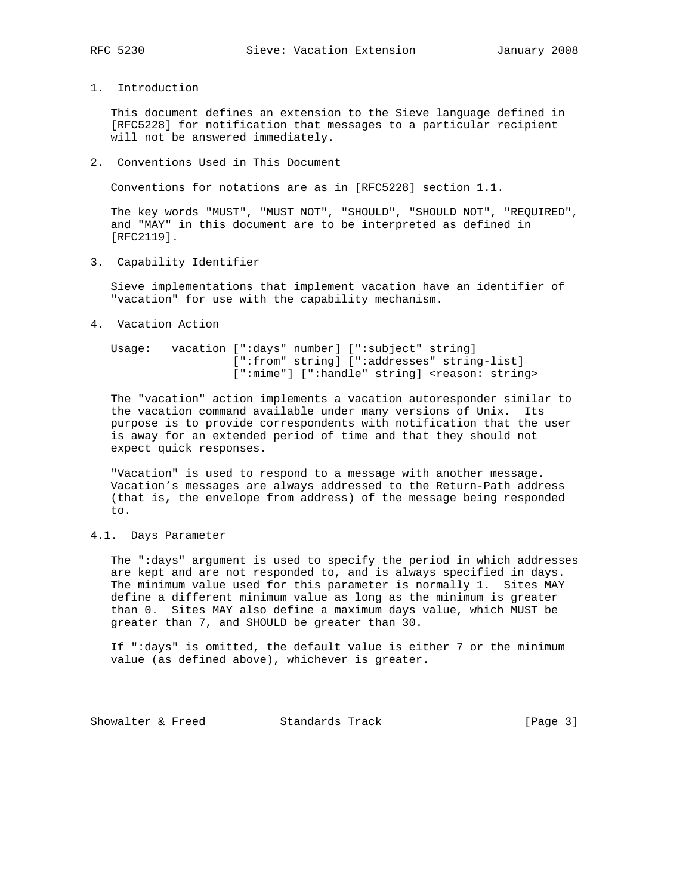1. Introduction

 This document defines an extension to the Sieve language defined in [RFC5228] for notification that messages to a particular recipient will not be answered immediately.

2. Conventions Used in This Document

Conventions for notations are as in [RFC5228] section 1.1.

 The key words "MUST", "MUST NOT", "SHOULD", "SHOULD NOT", "REQUIRED", and "MAY" in this document are to be interpreted as defined in [RFC2119].

3. Capability Identifier

 Sieve implementations that implement vacation have an identifier of "vacation" for use with the capability mechanism.

4. Vacation Action

 Usage: vacation [":days" number] [":subject" string] [":from" string] [":addresses" string-list] [":mime"] [":handle" string] <reason: string>

 The "vacation" action implements a vacation autoresponder similar to the vacation command available under many versions of Unix. Its purpose is to provide correspondents with notification that the user is away for an extended period of time and that they should not expect quick responses.

 "Vacation" is used to respond to a message with another message. Vacation's messages are always addressed to the Return-Path address (that is, the envelope from address) of the message being responded to.

4.1. Days Parameter

 The ":days" argument is used to specify the period in which addresses are kept and are not responded to, and is always specified in days. The minimum value used for this parameter is normally 1. Sites MAY define a different minimum value as long as the minimum is greater than 0. Sites MAY also define a maximum days value, which MUST be greater than 7, and SHOULD be greater than 30.

 If ":days" is omitted, the default value is either 7 or the minimum value (as defined above), whichever is greater.

Showalter & Freed Standards Track [Page 3]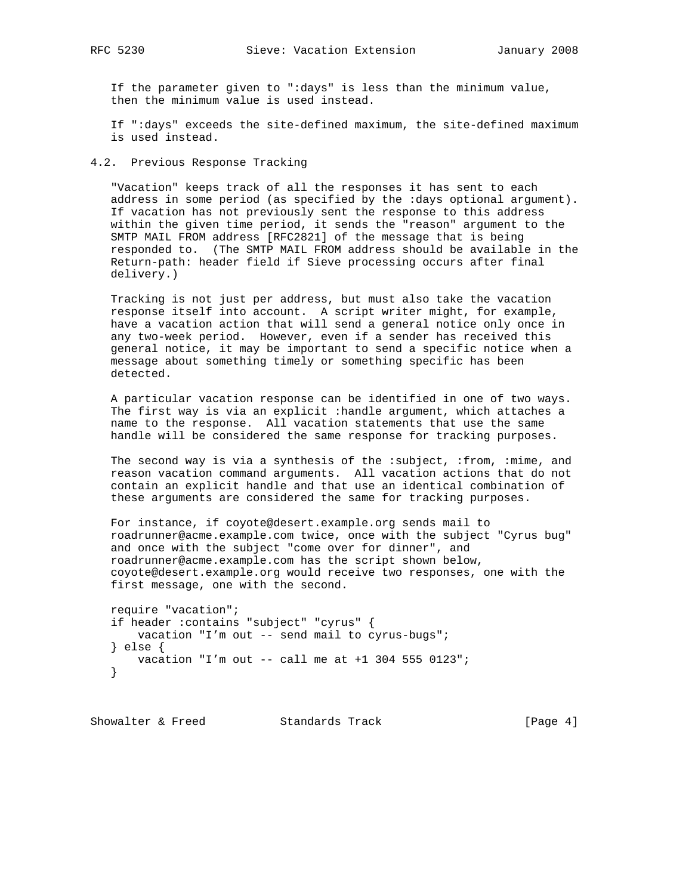If the parameter given to ":days" is less than the minimum value,

then the minimum value is used instead.

 If ":days" exceeds the site-defined maximum, the site-defined maximum is used instead.

4.2. Previous Response Tracking

 "Vacation" keeps track of all the responses it has sent to each address in some period (as specified by the :days optional argument). If vacation has not previously sent the response to this address within the given time period, it sends the "reason" argument to the SMTP MAIL FROM address [RFC2821] of the message that is being responded to. (The SMTP MAIL FROM address should be available in the Return-path: header field if Sieve processing occurs after final delivery.)

 Tracking is not just per address, but must also take the vacation response itself into account. A script writer might, for example, have a vacation action that will send a general notice only once in any two-week period. However, even if a sender has received this general notice, it may be important to send a specific notice when a message about something timely or something specific has been detected.

 A particular vacation response can be identified in one of two ways. The first way is via an explicit :handle argument, which attaches a name to the response. All vacation statements that use the same handle will be considered the same response for tracking purposes.

 The second way is via a synthesis of the :subject, :from, :mime, and reason vacation command arguments. All vacation actions that do not contain an explicit handle and that use an identical combination of these arguments are considered the same for tracking purposes.

 For instance, if coyote@desert.example.org sends mail to roadrunner@acme.example.com twice, once with the subject "Cyrus bug" and once with the subject "come over for dinner", and roadrunner@acme.example.com has the script shown below, coyote@desert.example.org would receive two responses, one with the first message, one with the second.

 require "vacation"; if header :contains "subject" "cyrus" { vacation "I'm out -- send mail to cyrus-bugs"; } else { vacation "I'm out -- call me at +1 304 555 0123"; }

Showalter & Freed Standards Track [Page 4]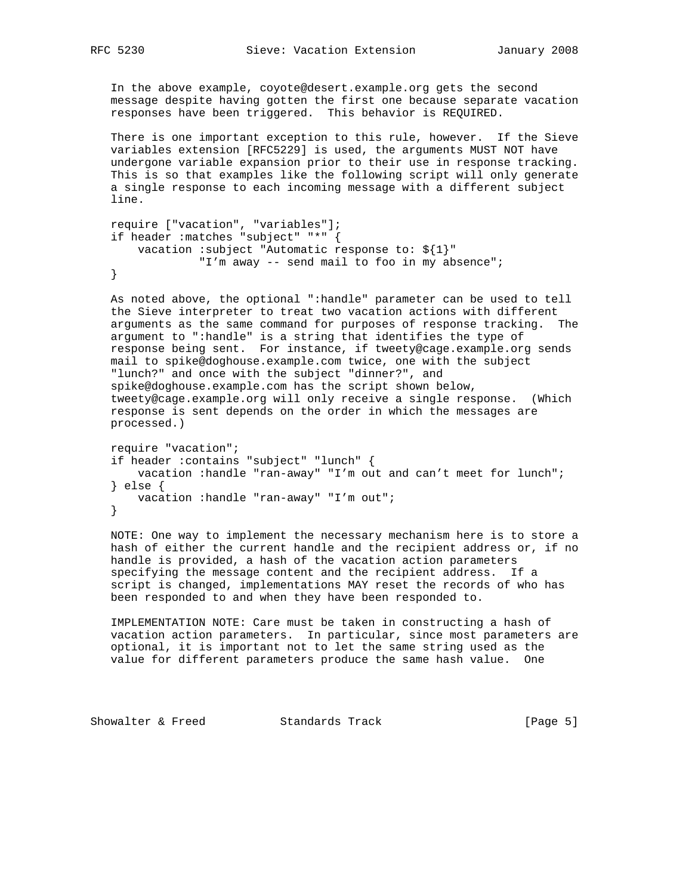In the above example, coyote@desert.example.org gets the second message despite having gotten the first one because separate vacation responses have been triggered. This behavior is REQUIRED.

 There is one important exception to this rule, however. If the Sieve variables extension [RFC5229] is used, the arguments MUST NOT have undergone variable expansion prior to their use in response tracking. This is so that examples like the following script will only generate a single response to each incoming message with a different subject line.

```
 require ["vacation", "variables"];
if header :matches "subject" "*" {
   vacation :subject "Automatic response to: ${1}"
             "I'm away -- send mail to foo in my absence";
}
```
 As noted above, the optional ":handle" parameter can be used to tell the Sieve interpreter to treat two vacation actions with different arguments as the same command for purposes of response tracking. The argument to ":handle" is a string that identifies the type of response being sent. For instance, if tweety@cage.example.org sends mail to spike@doghouse.example.com twice, one with the subject "lunch?" and once with the subject "dinner?", and spike@doghouse.example.com has the script shown below, tweety@cage.example.org will only receive a single response. (Which response is sent depends on the order in which the messages are processed.)

```
 require "vacation";
if header :contains "subject" "lunch" {
    vacation :handle "ran-away" "I'm out and can't meet for lunch";
} else {
   vacation :handle "ran-away" "I'm out";
}
```
 NOTE: One way to implement the necessary mechanism here is to store a hash of either the current handle and the recipient address or, if no handle is provided, a hash of the vacation action parameters specifying the message content and the recipient address. If a script is changed, implementations MAY reset the records of who has been responded to and when they have been responded to.

 IMPLEMENTATION NOTE: Care must be taken in constructing a hash of vacation action parameters. In particular, since most parameters are optional, it is important not to let the same string used as the value for different parameters produce the same hash value. One

Showalter & Freed Standards Track [Page 5]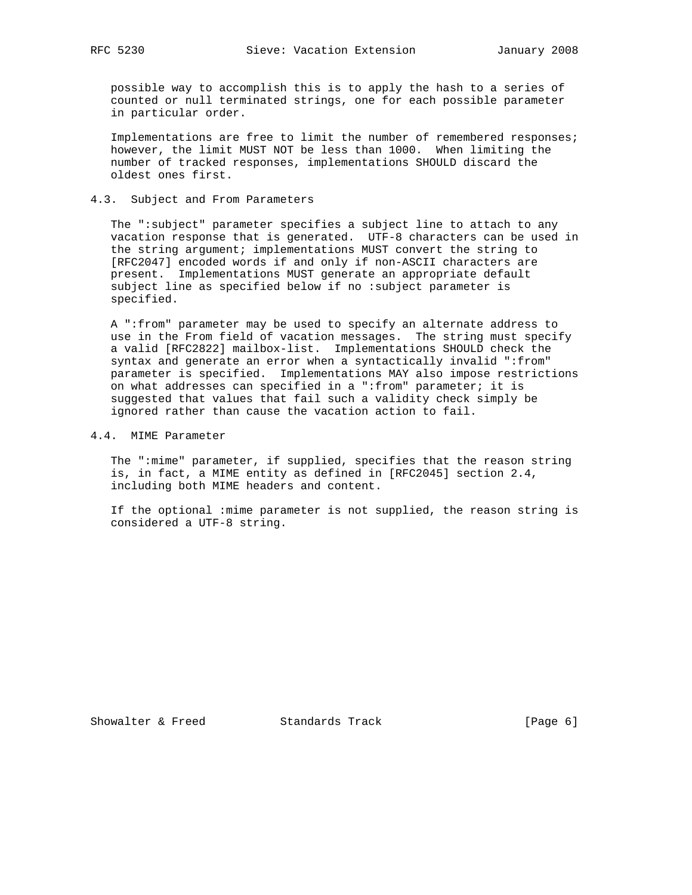possible way to accomplish this is to apply the hash to a series of counted or null terminated strings, one for each possible parameter in particular order.

 Implementations are free to limit the number of remembered responses; however, the limit MUST NOT be less than 1000. When limiting the number of tracked responses, implementations SHOULD discard the oldest ones first.

# 4.3. Subject and From Parameters

 The ":subject" parameter specifies a subject line to attach to any vacation response that is generated. UTF-8 characters can be used in the string argument; implementations MUST convert the string to [RFC2047] encoded words if and only if non-ASCII characters are present. Implementations MUST generate an appropriate default subject line as specified below if no :subject parameter is specified.

 A ":from" parameter may be used to specify an alternate address to use in the From field of vacation messages. The string must specify a valid [RFC2822] mailbox-list. Implementations SHOULD check the syntax and generate an error when a syntactically invalid ":from" parameter is specified. Implementations MAY also impose restrictions on what addresses can specified in a ":from" parameter; it is suggested that values that fail such a validity check simply be ignored rather than cause the vacation action to fail.

4.4. MIME Parameter

 The ":mime" parameter, if supplied, specifies that the reason string is, in fact, a MIME entity as defined in [RFC2045] section 2.4, including both MIME headers and content.

 If the optional :mime parameter is not supplied, the reason string is considered a UTF-8 string.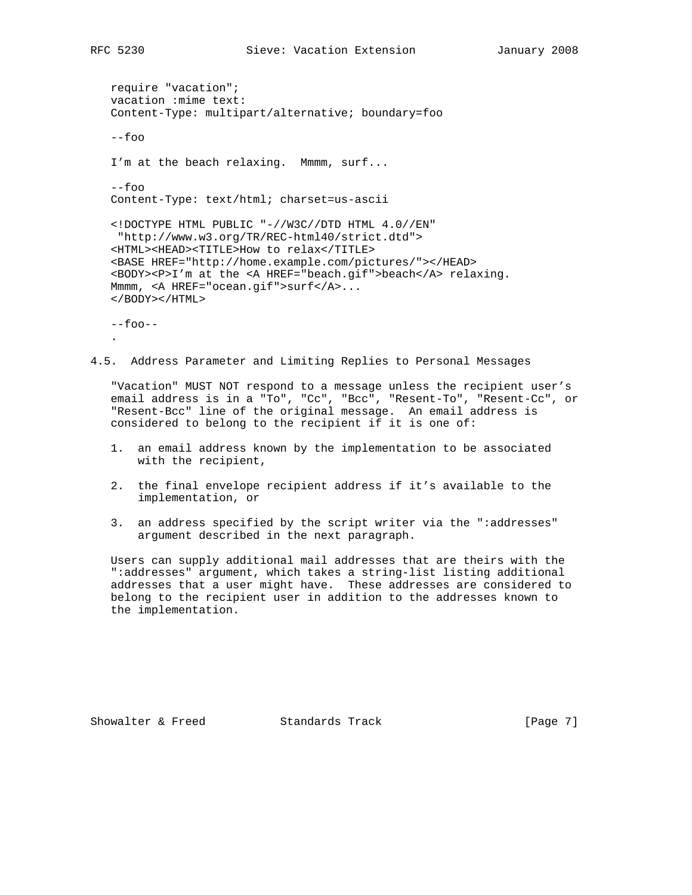require "vacation"; vacation :mime text: Content-Type: multipart/alternative; boundary=foo --foo I'm at the beach relaxing. Mmmm, surf... --foo Content-Type: text/html; charset=us-ascii <!DOCTYPE HTML PUBLIC "-//W3C//DTD HTML 4.0//EN" "http://www.w3.org/TR/REC-html40/strict.dtd"> <HTML><HEAD><TITLE>How to relax</TITLE> <BASE HREF="http://home.example.com/pictures/"></HEAD> <BODY><P>I'm at the <A HREF="beach.gif">beach</A> relaxing. Mmmm, <A HREF="ocean.gif">surf</A>... </BODY></HTML>  $--$ foo $--$ 

4.5. Address Parameter and Limiting Replies to Personal Messages

 "Vacation" MUST NOT respond to a message unless the recipient user's email address is in a "To", "Cc", "Bcc", "Resent-To", "Resent-Cc", or "Resent-Bcc" line of the original message. An email address is considered to belong to the recipient if it is one of:

- 1. an email address known by the implementation to be associated with the recipient,
- 2. the final envelope recipient address if it's available to the implementation, or
- 3. an address specified by the script writer via the ":addresses" argument described in the next paragraph.

 Users can supply additional mail addresses that are theirs with the ":addresses" argument, which takes a string-list listing additional addresses that a user might have. These addresses are considered to belong to the recipient user in addition to the addresses known to the implementation.

Showalter & Freed Standards Track [Page 7]

.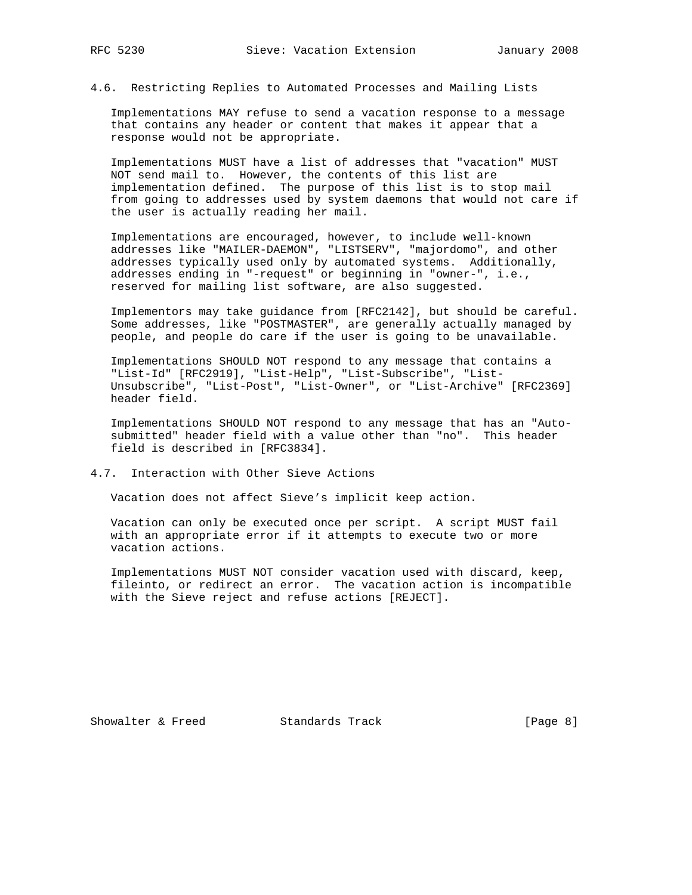## 4.6. Restricting Replies to Automated Processes and Mailing Lists

 Implementations MAY refuse to send a vacation response to a message that contains any header or content that makes it appear that a response would not be appropriate.

 Implementations MUST have a list of addresses that "vacation" MUST NOT send mail to. However, the contents of this list are implementation defined. The purpose of this list is to stop mail from going to addresses used by system daemons that would not care if the user is actually reading her mail.

 Implementations are encouraged, however, to include well-known addresses like "MAILER-DAEMON", "LISTSERV", "majordomo", and other addresses typically used only by automated systems. Additionally, addresses ending in "-request" or beginning in "owner-", i.e., reserved for mailing list software, are also suggested.

 Implementors may take guidance from [RFC2142], but should be careful. Some addresses, like "POSTMASTER", are generally actually managed by people, and people do care if the user is going to be unavailable.

 Implementations SHOULD NOT respond to any message that contains a "List-Id" [RFC2919], "List-Help", "List-Subscribe", "List- Unsubscribe", "List-Post", "List-Owner", or "List-Archive" [RFC2369] header field.

 Implementations SHOULD NOT respond to any message that has an "Auto submitted" header field with a value other than "no". This header field is described in [RFC3834].

## 4.7. Interaction with Other Sieve Actions

Vacation does not affect Sieve's implicit keep action.

 Vacation can only be executed once per script. A script MUST fail with an appropriate error if it attempts to execute two or more vacation actions.

 Implementations MUST NOT consider vacation used with discard, keep, fileinto, or redirect an error. The vacation action is incompatible with the Sieve reject and refuse actions [REJECT].

Showalter & Freed Standards Track [Page 8]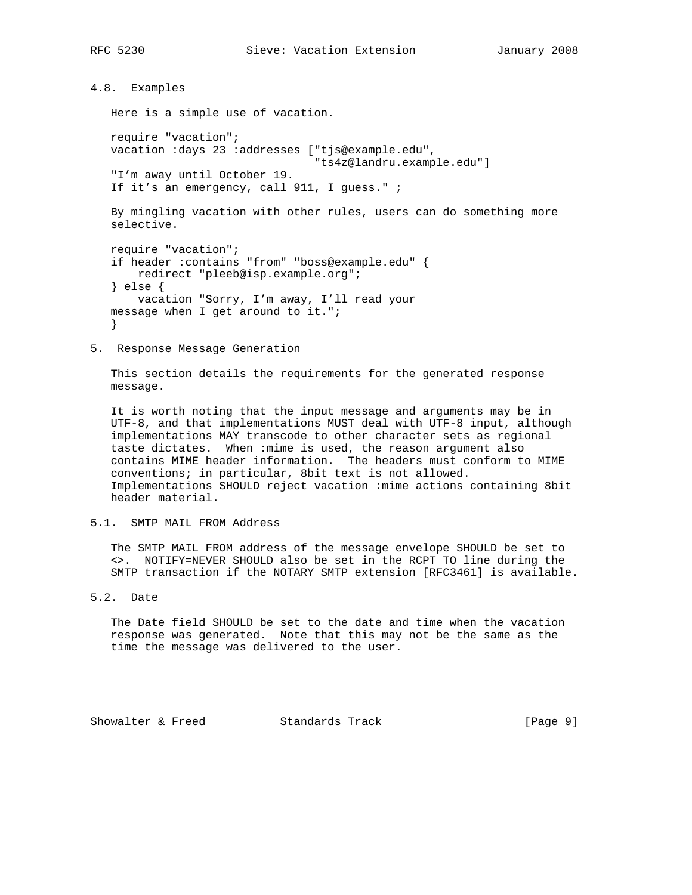4.8. Examples

Here is a simple use of vacation.

 require "vacation"; vacation :days 23 :addresses ["tjs@example.edu", "ts4z@landru.example.edu"] "I'm away until October 19. If it's an emergency, call 911, I guess." ;

 By mingling vacation with other rules, users can do something more selective.

```
 require "vacation";
if header :contains "from" "boss@example.edu" {
    redirect "pleeb@isp.example.org";
} else {
   vacation "Sorry, I'm away, I'll read your
message when I get around to it.";
}
```
5. Response Message Generation

 This section details the requirements for the generated response message.

 It is worth noting that the input message and arguments may be in UTF-8, and that implementations MUST deal with UTF-8 input, although implementations MAY transcode to other character sets as regional taste dictates. When :mime is used, the reason argument also contains MIME header information. The headers must conform to MIME conventions; in particular, 8bit text is not allowed. Implementations SHOULD reject vacation :mime actions containing 8bit header material.

5.1. SMTP MAIL FROM Address

 The SMTP MAIL FROM address of the message envelope SHOULD be set to <>. NOTIFY=NEVER SHOULD also be set in the RCPT TO line during the SMTP transaction if the NOTARY SMTP extension [RFC3461] is available.

5.2. Date

 The Date field SHOULD be set to the date and time when the vacation response was generated. Note that this may not be the same as the time the message was delivered to the user.

Showalter & Freed Standards Track [Page 9]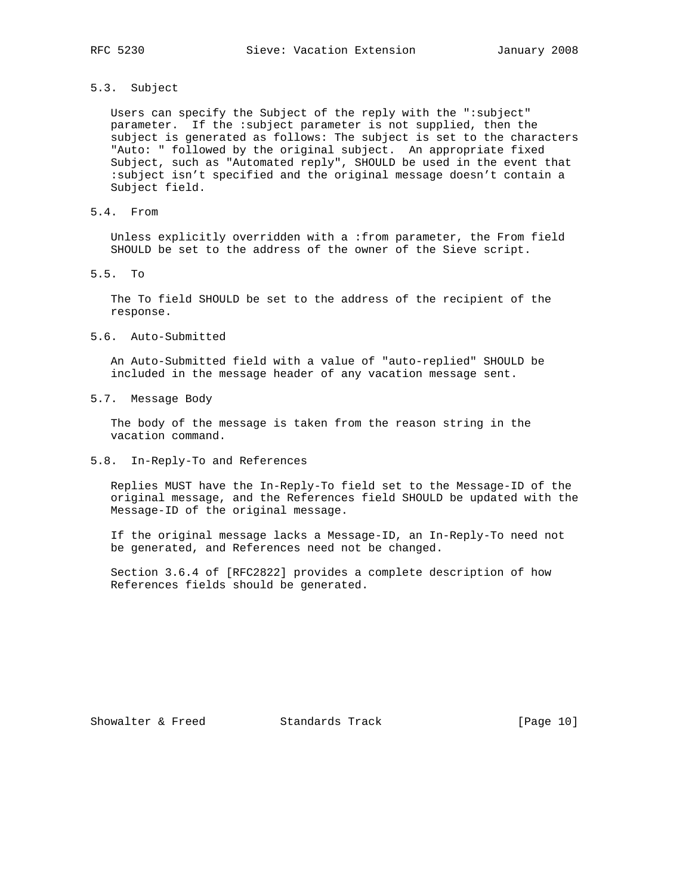# 5.3. Subject

 Users can specify the Subject of the reply with the ":subject" parameter. If the :subject parameter is not supplied, then the subject is generated as follows: The subject is set to the characters "Auto: " followed by the original subject. An appropriate fixed Subject, such as "Automated reply", SHOULD be used in the event that :subject isn't specified and the original message doesn't contain a Subject field.

# 5.4. From

 Unless explicitly overridden with a :from parameter, the From field SHOULD be set to the address of the owner of the Sieve script.

### 5.5. To

 The To field SHOULD be set to the address of the recipient of the response.

## 5.6. Auto-Submitted

 An Auto-Submitted field with a value of "auto-replied" SHOULD be included in the message header of any vacation message sent.

## 5.7. Message Body

 The body of the message is taken from the reason string in the vacation command.

# 5.8. In-Reply-To and References

 Replies MUST have the In-Reply-To field set to the Message-ID of the original message, and the References field SHOULD be updated with the Message-ID of the original message.

 If the original message lacks a Message-ID, an In-Reply-To need not be generated, and References need not be changed.

 Section 3.6.4 of [RFC2822] provides a complete description of how References fields should be generated.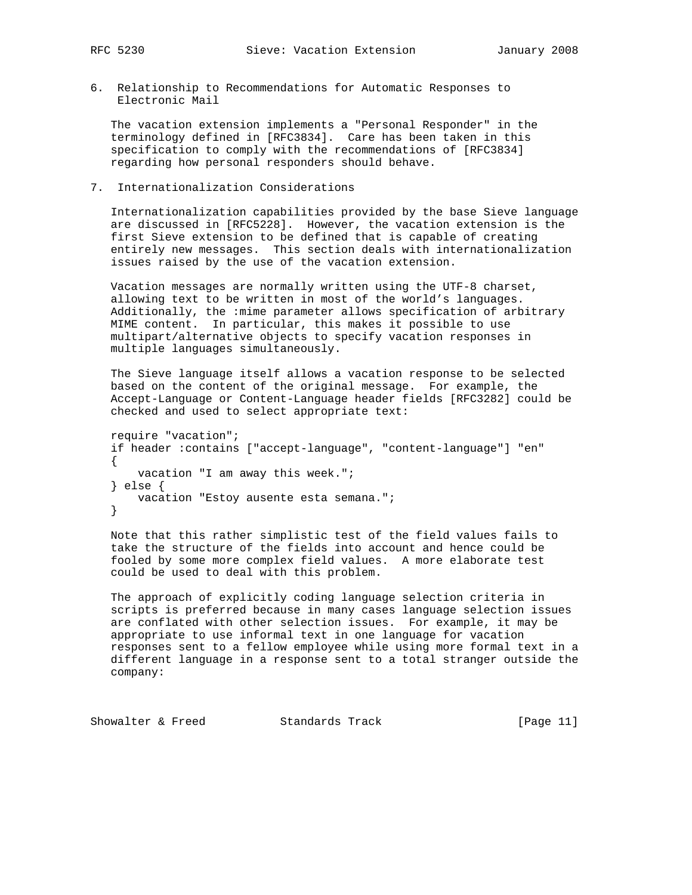6. Relationship to Recommendations for Automatic Responses to Electronic Mail

 The vacation extension implements a "Personal Responder" in the terminology defined in [RFC3834]. Care has been taken in this specification to comply with the recommendations of [RFC3834] regarding how personal responders should behave.

7. Internationalization Considerations

 Internationalization capabilities provided by the base Sieve language are discussed in [RFC5228]. However, the vacation extension is the first Sieve extension to be defined that is capable of creating entirely new messages. This section deals with internationalization issues raised by the use of the vacation extension.

 Vacation messages are normally written using the UTF-8 charset, allowing text to be written in most of the world's languages. Additionally, the :mime parameter allows specification of arbitrary MIME content. In particular, this makes it possible to use multipart/alternative objects to specify vacation responses in multiple languages simultaneously.

 The Sieve language itself allows a vacation response to be selected based on the content of the original message. For example, the Accept-Language or Content-Language header fields [RFC3282] could be checked and used to select appropriate text:

```
 require "vacation";
if header :contains ["accept-language", "content-language"] "en"
{
   vacation "I am away this week.";
} else {
   vacation "Estoy ausente esta semana.";
}
```
 Note that this rather simplistic test of the field values fails to take the structure of the fields into account and hence could be fooled by some more complex field values. A more elaborate test could be used to deal with this problem.

 The approach of explicitly coding language selection criteria in scripts is preferred because in many cases language selection issues are conflated with other selection issues. For example, it may be appropriate to use informal text in one language for vacation responses sent to a fellow employee while using more formal text in a different language in a response sent to a total stranger outside the company:

Showalter & Freed Standards Track [Page 11]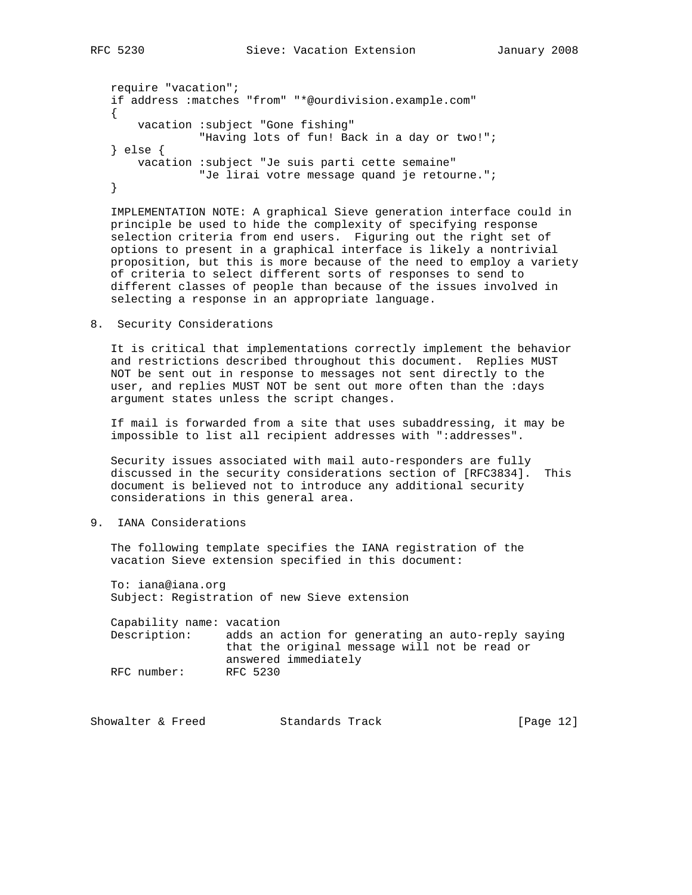require "vacation"; if address :matches "from" "\*@ourdivision.example.com" { vacation :subject "Gone fishing" "Having lots of fun! Back in a day or two!"; } else { vacation :subject "Je suis parti cette semaine" "Je lirai votre message quand je retourne."; }

 IMPLEMENTATION NOTE: A graphical Sieve generation interface could in principle be used to hide the complexity of specifying response selection criteria from end users. Figuring out the right set of options to present in a graphical interface is likely a nontrivial proposition, but this is more because of the need to employ a variety of criteria to select different sorts of responses to send to different classes of people than because of the issues involved in selecting a response in an appropriate language.

8. Security Considerations

 It is critical that implementations correctly implement the behavior and restrictions described throughout this document. Replies MUST NOT be sent out in response to messages not sent directly to the user, and replies MUST NOT be sent out more often than the :days argument states unless the script changes.

 If mail is forwarded from a site that uses subaddressing, it may be impossible to list all recipient addresses with ":addresses".

 Security issues associated with mail auto-responders are fully discussed in the security considerations section of [RFC3834]. This document is believed not to introduce any additional security considerations in this general area.

## 9. IANA Considerations

 The following template specifies the IANA registration of the vacation Sieve extension specified in this document:

 To: iana@iana.org Subject: Registration of new Sieve extension

 Capability name: vacation Description: adds an action for generating an auto-reply saying that the original message will not be read or answered immediately RFC number: RFC 5230

Showalter & Freed Standards Track [Page 12]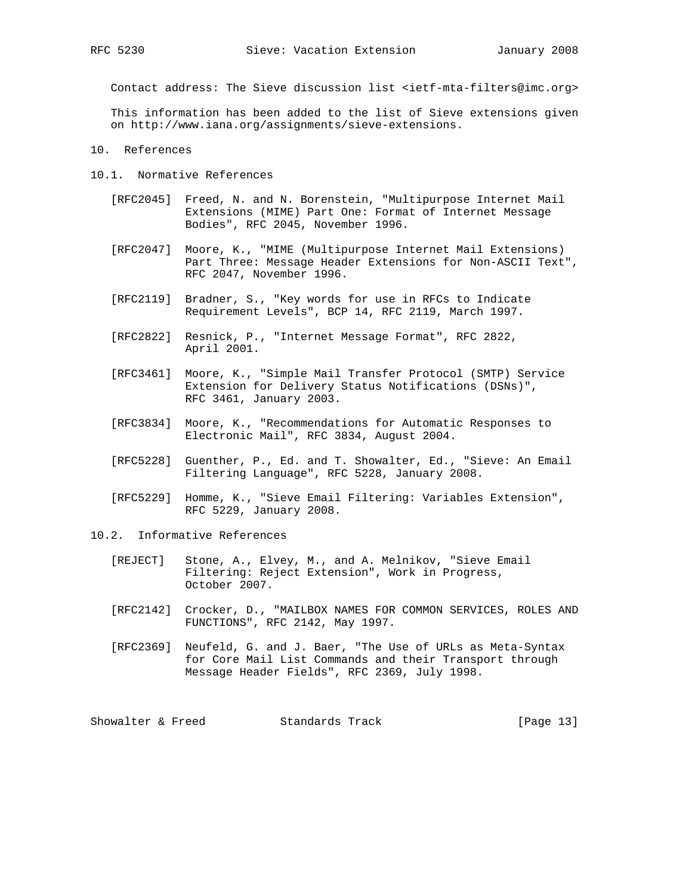Contact address: The Sieve discussion list <ietf-mta-filters@imc.org>

 This information has been added to the list of Sieve extensions given on http://www.iana.org/assignments/sieve-extensions.

10. References

- 10.1. Normative References
	- [RFC2045] Freed, N. and N. Borenstein, "Multipurpose Internet Mail Extensions (MIME) Part One: Format of Internet Message Bodies", RFC 2045, November 1996.
	- [RFC2047] Moore, K., "MIME (Multipurpose Internet Mail Extensions) Part Three: Message Header Extensions for Non-ASCII Text", RFC 2047, November 1996.
	- [RFC2119] Bradner, S., "Key words for use in RFCs to Indicate Requirement Levels", BCP 14, RFC 2119, March 1997.
	- [RFC2822] Resnick, P., "Internet Message Format", RFC 2822, April 2001.
	- [RFC3461] Moore, K., "Simple Mail Transfer Protocol (SMTP) Service Extension for Delivery Status Notifications (DSNs)", RFC 3461, January 2003.
	- [RFC3834] Moore, K., "Recommendations for Automatic Responses to Electronic Mail", RFC 3834, August 2004.
	- [RFC5228] Guenther, P., Ed. and T. Showalter, Ed., "Sieve: An Email Filtering Language", RFC 5228, January 2008.
	- [RFC5229] Homme, K., "Sieve Email Filtering: Variables Extension", RFC 5229, January 2008.
- 10.2. Informative References
	- [REJECT] Stone, A., Elvey, M., and A. Melnikov, "Sieve Email Filtering: Reject Extension", Work in Progress, October 2007.
	- [RFC2142] Crocker, D., "MAILBOX NAMES FOR COMMON SERVICES, ROLES AND FUNCTIONS", RFC 2142, May 1997.
	- [RFC2369] Neufeld, G. and J. Baer, "The Use of URLs as Meta-Syntax for Core Mail List Commands and their Transport through Message Header Fields", RFC 2369, July 1998.

Showalter & Freed Standards Track [Page 13]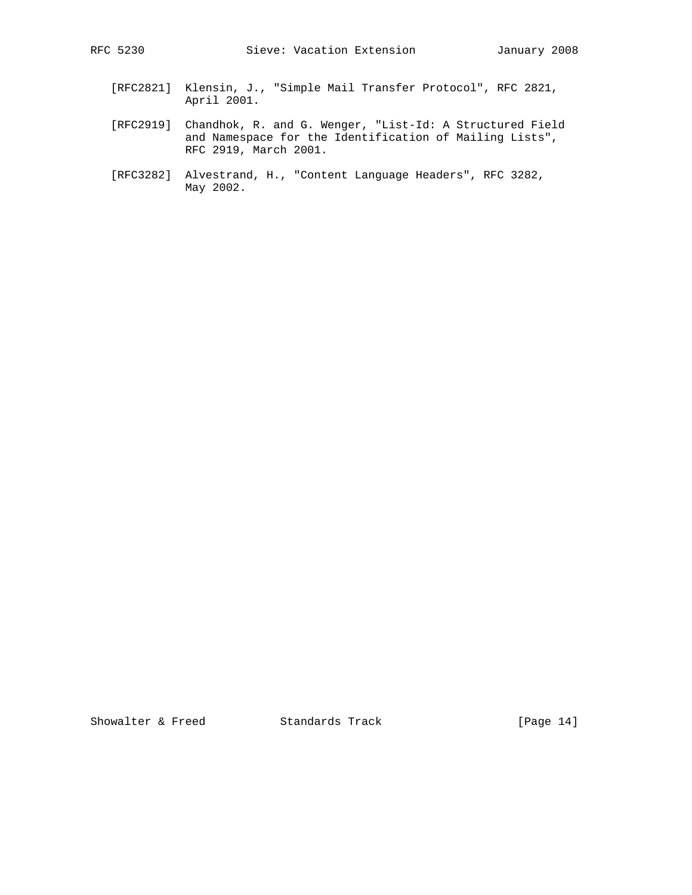- [RFC2821] Klensin, J., "Simple Mail Transfer Protocol", RFC 2821, April 2001.
- [RFC2919] Chandhok, R. and G. Wenger, "List-Id: A Structured Field and Namespace for the Identification of Mailing Lists", RFC 2919, March 2001.
- [RFC3282] Alvestrand, H., "Content Language Headers", RFC 3282, May 2002.

Showalter & Freed Standards Track [Page 14]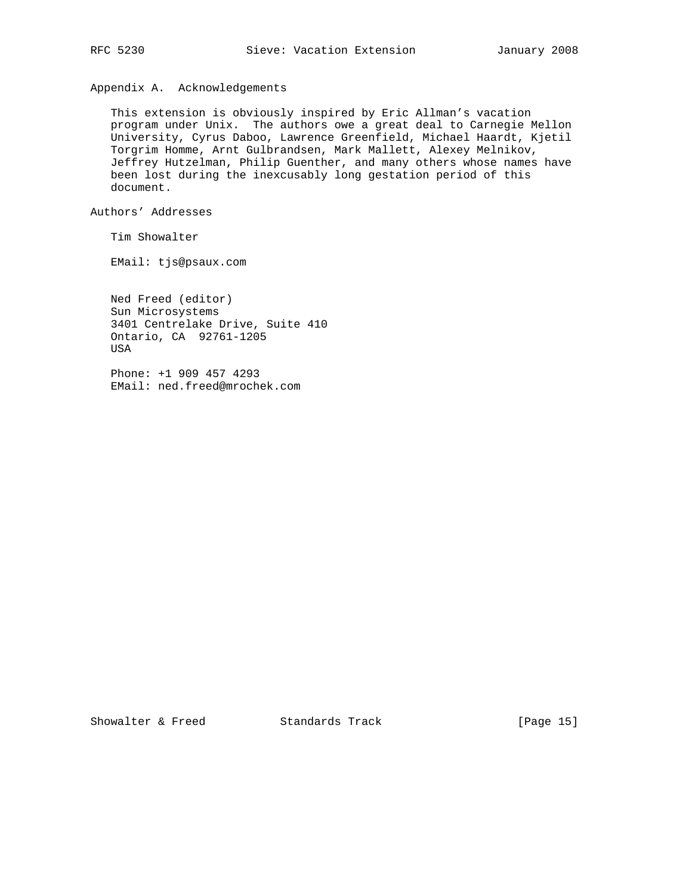Appendix A. Acknowledgements

 This extension is obviously inspired by Eric Allman's vacation program under Unix. The authors owe a great deal to Carnegie Mellon University, Cyrus Daboo, Lawrence Greenfield, Michael Haardt, Kjetil Torgrim Homme, Arnt Gulbrandsen, Mark Mallett, Alexey Melnikov, Jeffrey Hutzelman, Philip Guenther, and many others whose names have been lost during the inexcusably long gestation period of this document.

Authors' Addresses

Tim Showalter

EMail: tjs@psaux.com

 Ned Freed (editor) Sun Microsystems 3401 Centrelake Drive, Suite 410 Ontario, CA 92761-1205 USA

 Phone: +1 909 457 4293 EMail: ned.freed@mrochek.com